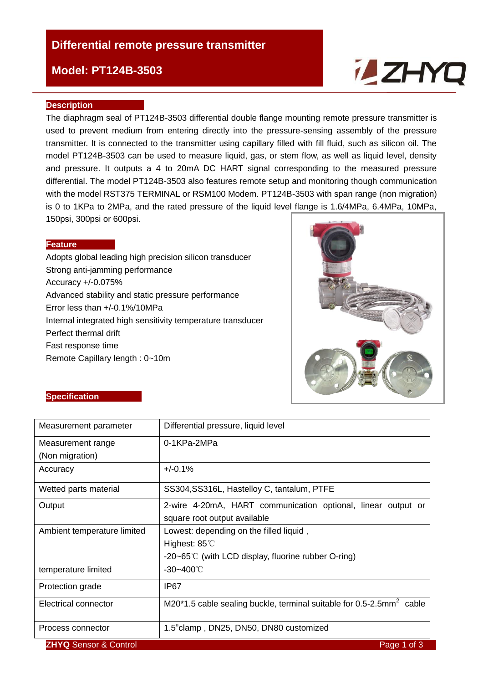## **Differential remote pressure transmitter**

### **Model: PT124B-3503**

# **ZHYC**

#### **Description**

The diaphragm seal of PT124B-3503 differential double flange mounting remote pressure transmitter is used to prevent medium from entering directly into the pressure-sensing assembly of the pressure transmitter. It is connected to the transmitter using capillary filled with fill fluid, such as silicon oil. The model PT124B-3503 can be used to measure liquid, gas, or stem flow, as well as liquid level, density and pressure. It outputs a 4 to 20mA DC HART signal corresponding to the measured pressure differential. The model PT124B-3503 also features remote setup and monitoring though communication with the model RST375 TERMINAL or RSM100 Modem. PT124B-3503 with span range (non migration) is 0 to 1KPa to 2MPa, and the rated pressure of the liquid level flange is 1.6/4MPa, 6.4MPa, 10MPa, 150psi, 300psi or 600psi.

#### **Feature**

Adopts global leading high precision silicon transducer Strong anti-jamming performance Accuracy +/-0.075% Advanced stability and static pressure performance Error less than +/-0.1%/10MPa Internal integrated high sensitivity temperature transducer Perfect thermal drift Fast response time Remote Capillary length : 0~10m



#### **Specification**

| Measurement parameter            | Differential pressure, liquid level                                                 |  |  |  |  |
|----------------------------------|-------------------------------------------------------------------------------------|--|--|--|--|
| Measurement range                | 0-1KPa-2MPa                                                                         |  |  |  |  |
| (Non migration)                  |                                                                                     |  |  |  |  |
| Accuracy                         | $+/-0.1%$                                                                           |  |  |  |  |
| Wetted parts material            | SS304, SS316L, Hastelloy C, tantalum, PTFE                                          |  |  |  |  |
| Output                           | 2-wire 4-20mA, HART communication optional, linear output or                        |  |  |  |  |
|                                  | square root output available                                                        |  |  |  |  |
| Ambient temperature limited      | Lowest: depending on the filled liquid,                                             |  |  |  |  |
|                                  | Highest: $85^{\circ}$                                                               |  |  |  |  |
|                                  | -20~65°C (with LCD display, fluorine rubber O-ring)                                 |  |  |  |  |
| temperature limited              | $-30 - 400^{\circ}$ C                                                               |  |  |  |  |
| Protection grade                 | IP67                                                                                |  |  |  |  |
| Electrical connector             | M20*1.5 cable sealing buckle, terminal suitable for $0.5$ -2.5mm <sup>2</sup> cable |  |  |  |  |
| Process connector                | 1.5" clamp, DN25, DN50, DN80 customized                                             |  |  |  |  |
| <b>ZHYQ Sensor &amp; Control</b> | Page 1 of 3                                                                         |  |  |  |  |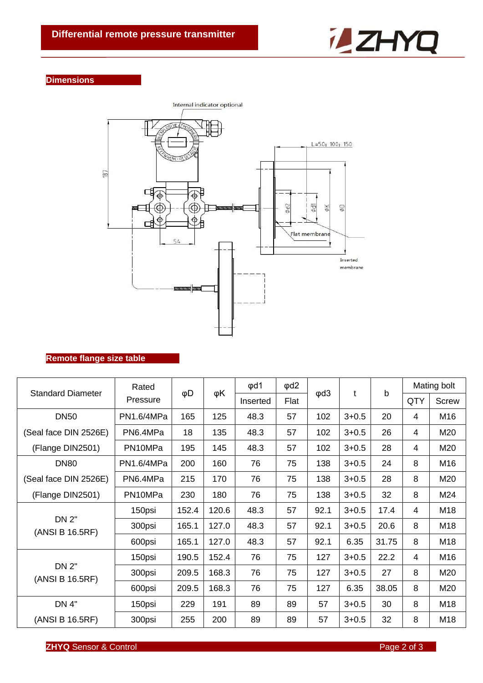

#### **Dimensions**



#### **Remote flange size table**

| <b>Standard Diameter</b>        | Rated<br>Pressure | φD    | φK    | $\phi$ d1 | $\phi$ d2 | $\phi$ d3 | t         | b     | Mating bolt    |              |
|---------------------------------|-------------------|-------|-------|-----------|-----------|-----------|-----------|-------|----------------|--------------|
|                                 |                   |       |       | Inserted  | Flat      |           |           |       | QTY            | <b>Screw</b> |
| <b>DN50</b>                     | PN1.6/4MPa        | 165   | 125   | 48.3      | 57        | 102       | $3 + 0.5$ | 20    | 4              | M16          |
| (Seal face DIN 2526E)           | PN6.4MPa          | 18    | 135   | 48.3      | 57        | 102       | $3 + 0.5$ | 26    | 4              | M20          |
| (Flange DIN2501)                | PN10MPa           | 195   | 145   | 48.3      | 57        | 102       | $3 + 0.5$ | 28    | $\overline{4}$ | M20          |
| <b>DN80</b>                     | PN1.6/4MPa        | 200   | 160   | 76        | 75        | 138       | $3 + 0.5$ | 24    | 8              | M16          |
| (Seal face DIN 2526E)           | PN6.4MPa          | 215   | 170   | 76        | 75        | 138       | $3 + 0.5$ | 28    | 8              | M20          |
| (Flange DIN2501)                | PN10MPa           | 230   | 180   | 76        | 75        | 138       | $3 + 0.5$ | 32    | 8              | M24          |
| <b>DN 2"</b><br>(ANSI B 16.5RF) | 150psi            | 152.4 | 120.6 | 48.3      | 57        | 92.1      | $3 + 0.5$ | 17.4  | 4              | M18          |
|                                 | 300psi            | 165.1 | 127.0 | 48.3      | 57        | 92.1      | $3 + 0.5$ | 20.6  | 8              | M18          |
|                                 | 600psi            | 165.1 | 127.0 | 48.3      | 57        | 92.1      | 6.35      | 31.75 | 8              | M18          |
| <b>DN 2"</b><br>(ANSI B 16.5RF) | 150psi            | 190.5 | 152.4 | 76        | 75        | 127       | $3 + 0.5$ | 22.2  | 4              | M16          |
|                                 | 300psi            | 209.5 | 168.3 | 76        | 75        | 127       | $3 + 0.5$ | 27    | 8              | M20          |
|                                 | 600psi            | 209.5 | 168.3 | 76        | 75        | 127       | 6.35      | 38.05 | 8              | M20          |
| <b>DN 4"</b>                    | 150psi            | 229   | 191   | 89        | 89        | 57        | $3 + 0.5$ | 30    | 8              | M18          |
| (ANSI B 16.5RF)                 | 300psi            | 255   | 200   | 89        | 89        | 57        | $3 + 0.5$ | 32    | 8              | M18          |